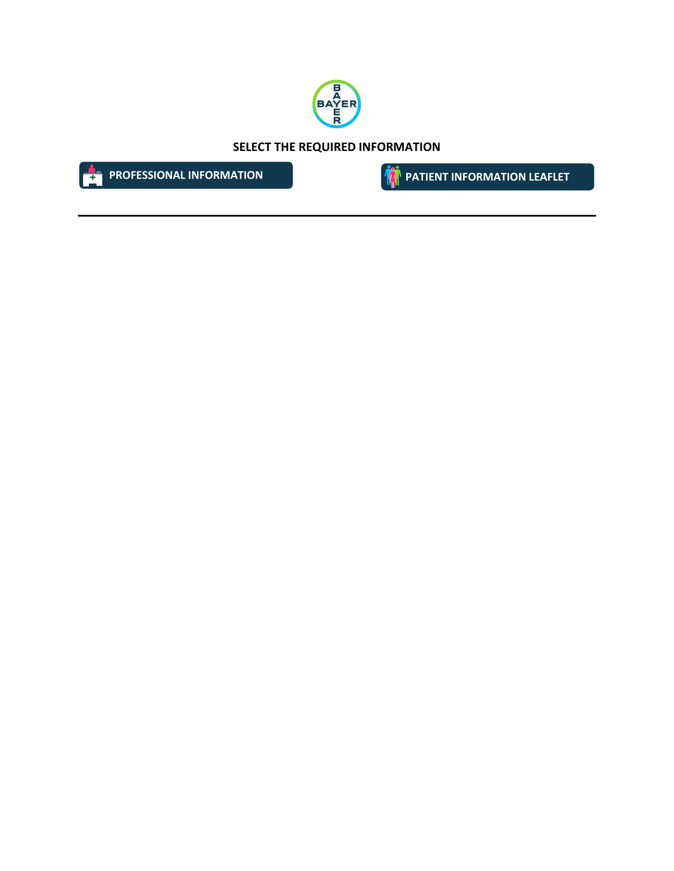

**SELECT THE REQUIRED INFORMATION**



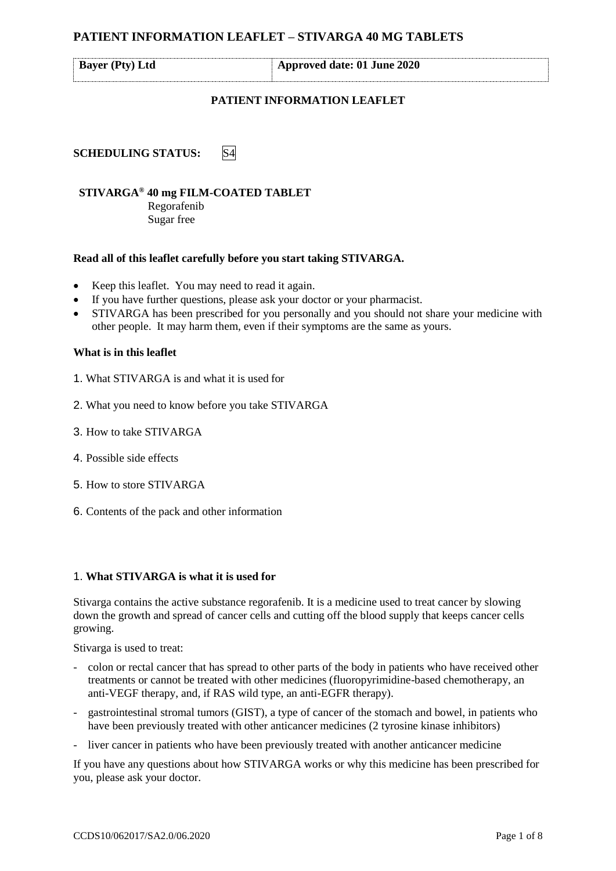<span id="page-1-0"></span>

|  | <b>Bayer (Pty) Ltd</b> |  |
|--|------------------------|--|
|--|------------------------|--|

**Bayer (Pty) Ltd Approved date: 01 June 2020**

### **PATIENT INFORMATION LEAFLET**

**SCHEDULING STATUS:** S4

# **STIVARGA® 40 mg FILM-COATED TABLET**

Regorafenib Sugar free

### **Read all of this leaflet carefully before you start taking STIVARGA.**

- Keep this leaflet. You may need to read it again.
- If you have further questions, please ask your doctor or your pharmacist.
- STIVARGA has been prescribed for you personally and you should not share your medicine with other people. It may harm them, even if their symptoms are the same as yours.

### **What is in this leaflet**

- 1. What STIVARGA is and what it is used for
- 2. What you need to know before you take STIVARGA
- 3. How to take STIVARGA
- 4. Possible side effects
- 5. How to store STIVARGA
- 6. Contents of the pack and other information

### 1. **What STIVARGA is what it is used for**

Stivarga contains the active substance regorafenib. It is a medicine used to treat cancer by slowing down the growth and spread of cancer cells and cutting off the blood supply that keeps cancer cells growing.

Stivarga is used to treat:

- colon or rectal cancer that has spread to other parts of the body in patients who have received other treatments or cannot be treated with other medicines (fluoropyrimidine-based chemotherapy, an anti-VEGF therapy, and, if RAS wild type, an anti-EGFR therapy).
- gastrointestinal stromal tumors (GIST), a type of cancer of the stomach and bowel, in patients who have been previously treated with other anticancer medicines (2 tyrosine kinase inhibitors)
- liver cancer in patients who have been previously treated with another anticancer medicine

If you have any questions about how STIVARGA works or why this medicine has been prescribed for you, please ask your doctor.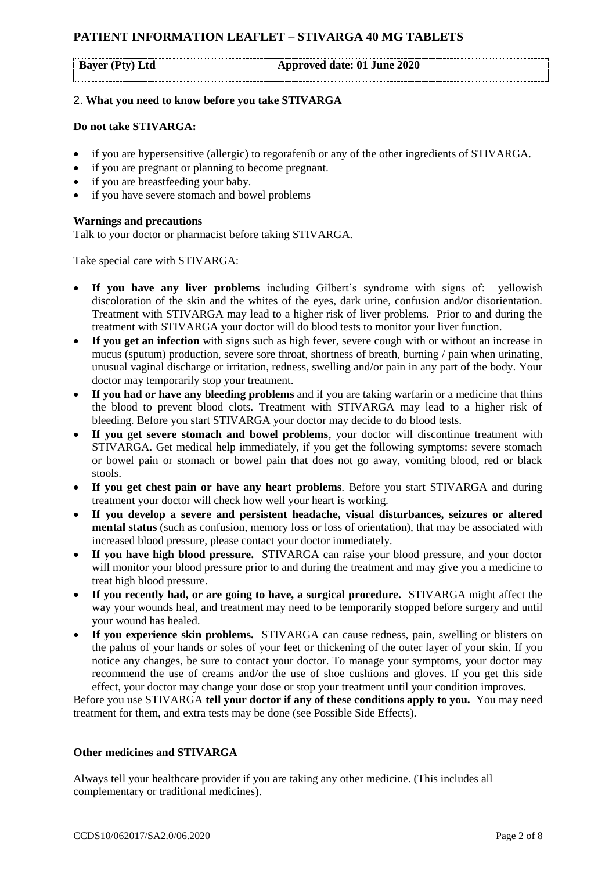| $\vert$ Approved date: 01 June 2020<br><b>Bayer</b> (Pty) Ltd |  |
|---------------------------------------------------------------|--|
|---------------------------------------------------------------|--|

### 2. **What you need to know before you take STIVARGA**

### **Do not take STIVARGA:**

- if you are hypersensitive (allergic) to regorafenib or any of the other ingredients of STIVARGA.
- if you are pregnant or planning to become pregnant.
- if you are breastfeeding your baby.
- if you have severe stomach and bowel problems

### **Warnings and precautions**

Talk to your doctor or pharmacist before taking STIVARGA.

Take special care with STIVARGA:

- If you have any liver problems including Gilbert's syndrome with signs of: yellowish discoloration of the skin and the whites of the eyes, dark urine, confusion and/or disorientation. Treatment with STIVARGA may lead to a higher risk of liver problems. Prior to and during the treatment with STIVARGA your doctor will do blood tests to monitor your liver function.
- If you get an infection with signs such as high fever, severe cough with or without an increase in mucus (sputum) production, severe sore throat, shortness of breath, burning / pain when urinating, unusual vaginal discharge or irritation, redness, swelling and/or pain in any part of the body. Your doctor may temporarily stop your treatment.
- **If you had or have any bleeding problems** and if you are taking warfarin or a medicine that thins the blood to prevent blood clots. Treatment with STIVARGA may lead to a higher risk of bleeding. Before you start STIVARGA your doctor may decide to do blood tests.
- **If you get severe stomach and bowel problems**, your doctor will discontinue treatment with STIVARGA. Get medical help immediately, if you get the following symptoms: severe stomach or bowel pain or stomach or bowel pain that does not go away, vomiting blood, red or black stools.
- **If you get chest pain or have any heart problems**. Before you start STIVARGA and during treatment your doctor will check how well your heart is working.
- **If you develop a severe and persistent headache, visual disturbances, seizures or altered mental status** (such as confusion, memory loss or loss of orientation), that may be associated with increased blood pressure, please contact your doctor immediately.
- **If you have high blood pressure.** STIVARGA can raise your blood pressure, and your doctor will monitor your blood pressure prior to and during the treatment and may give you a medicine to treat high blood pressure.
- **If you recently had, or are going to have, a surgical procedure.** STIVARGA might affect the way your wounds heal, and treatment may need to be temporarily stopped before surgery and until your wound has healed.
- **If you experience skin problems.** STIVARGA can cause redness, pain, swelling or blisters on the palms of your hands or soles of your feet or thickening of the outer layer of your skin. If you notice any changes, be sure to contact your doctor. To manage your symptoms, your doctor may recommend the use of creams and/or the use of shoe cushions and gloves. If you get this side effect, your doctor may change your dose or stop your treatment until your condition improves.

Before you use STIVARGA **tell your doctor if any of these conditions apply to you.** You may need treatment for them, and extra tests may be done (see Possible Side Effects).

### **Other medicines and STIVARGA**

Always tell your healthcare provider if you are taking any other medicine. (This includes all complementary or traditional medicines).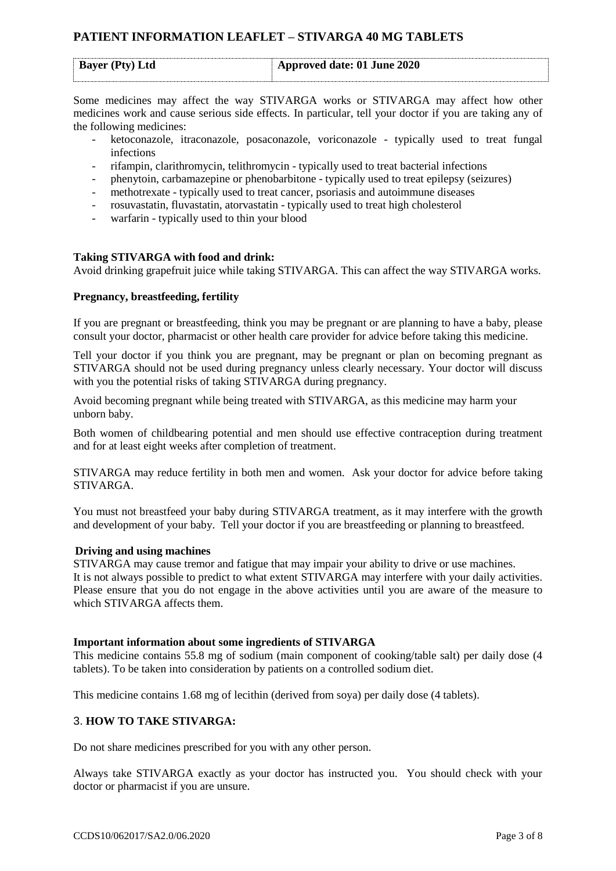|  | <b>Bayer (Pty) Ltd</b> | Approved date: 01 June 2020 |  |
|--|------------------------|-----------------------------|--|
|--|------------------------|-----------------------------|--|

Some medicines may affect the way STIVARGA works or STIVARGA may affect how other medicines work and cause serious side effects. In particular, tell your doctor if you are taking any of the following medicines:

- ketoconazole, itraconazole, posaconazole, voriconazole typically used to treat fungal infections
- rifampin, clarithromycin, telithromycin typically used to treat bacterial infections
- phenytoin, carbamazepine or phenobarbitone typically used to treat epilepsy (seizures)
- methotrexate typically used to treat cancer, psoriasis and autoimmune diseases
- rosuvastatin, fluvastatin, atorvastatin typically used to treat high cholesterol
- warfarin typically used to thin your blood

### **Taking STIVARGA with food and drink:**

Avoid drinking grapefruit juice while taking STIVARGA. This can affect the way STIVARGA works.

#### **Pregnancy, breastfeeding, fertility**

If you are pregnant or breastfeeding, think you may be pregnant or are planning to have a baby, please consult your doctor, pharmacist or other health care provider for advice before taking this medicine.

Tell your doctor if you think you are pregnant, may be pregnant or plan on becoming pregnant as STIVARGA should not be used during pregnancy unless clearly necessary. Your doctor will discuss with you the potential risks of taking STIVARGA during pregnancy.

Avoid becoming pregnant while being treated with STIVARGA, as this medicine may harm your unborn baby.

Both women of childbearing potential and men should use effective contraception during treatment and for at least eight weeks after completion of treatment.

STIVARGA may reduce fertility in both men and women. Ask your doctor for advice before taking STIVARGA.

You must not breastfeed your baby during STIVARGA treatment, as it may interfere with the growth and development of your baby. Tell your doctor if you are breastfeeding or planning to breastfeed.

#### **Driving and using machines**

STIVARGA may cause tremor and fatigue that may impair your ability to drive or use machines. It is not always possible to predict to what extent STIVARGA may interfere with your daily activities. Please ensure that you do not engage in the above activities until you are aware of the measure to which STIVARGA affects them.

### **Important information about some ingredients of STIVARGA**

This medicine contains 55.8 mg of sodium (main component of cooking/table salt) per daily dose (4 tablets). To be taken into consideration by patients on a controlled sodium diet.

This medicine contains 1.68 mg of lecithin (derived from soya) per daily dose (4 tablets).

### 3. **HOW TO TAKE STIVARGA:**

Do not share medicines prescribed for you with any other person.

Always take STIVARGA exactly as your doctor has instructed you. You should check with your doctor or pharmacist if you are unsure.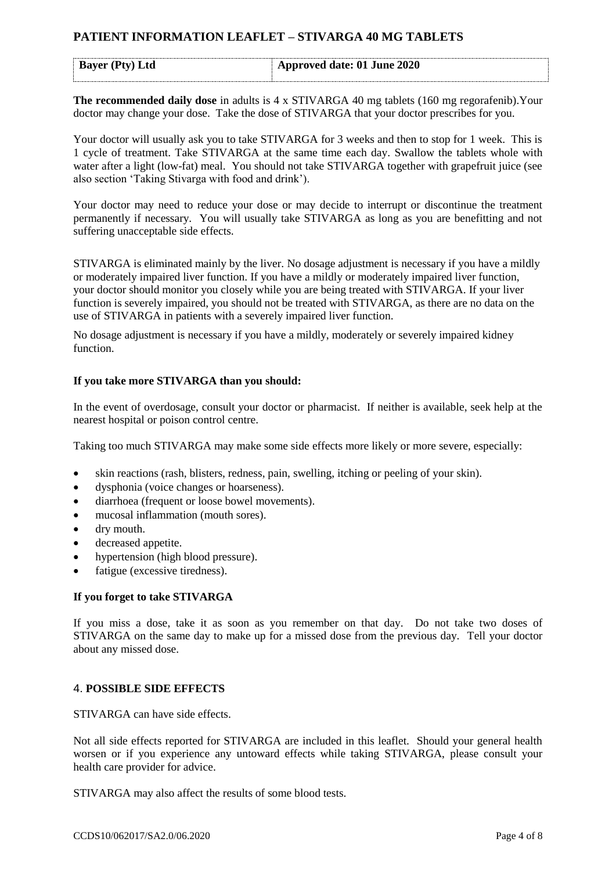| <b>Bayer</b> (Pty) Ltd | Approved date: 01 June 2020 |  |
|------------------------|-----------------------------|--|
|                        |                             |  |

**The recommended daily dose** in adults is 4 x STIVARGA 40 mg tablets (160 mg regorafenib).Your doctor may change your dose. Take the dose of STIVARGA that your doctor prescribes for you.

Your doctor will usually ask you to take STIVARGA for 3 weeks and then to stop for 1 week. This is 1 cycle of treatment. Take STIVARGA at the same time each day. Swallow the tablets whole with water after a light (low-fat) meal. You should not take STIVARGA together with grapefruit juice (see also section 'Taking Stivarga with food and drink').

Your doctor may need to reduce your dose or may decide to interrupt or discontinue the treatment permanently if necessary. You will usually take STIVARGA as long as you are benefitting and not suffering unacceptable side effects.

STIVARGA is eliminated mainly by the liver. No dosage adjustment is necessary if you have a mildly or moderately impaired liver function. If you have a mildly or moderately impaired liver function, your doctor should monitor you closely while you are being treated with STIVARGA. If your liver function is severely impaired, you should not be treated with STIVARGA, as there are no data on the use of STIVARGA in patients with a severely impaired liver function.

No dosage adjustment is necessary if you have a mildly, moderately or severely impaired kidney function.

## **If you take more STIVARGA than you should:**

In the event of overdosage, consult your doctor or pharmacist. If neither is available, seek help at the nearest hospital or poison control centre.

Taking too much STIVARGA may make some side effects more likely or more severe, especially:

- skin reactions (rash, blisters, redness, pain, swelling, itching or peeling of your skin).
- dysphonia (voice changes or hoarseness).
- diarrhoea (frequent or loose bowel movements).
- mucosal inflammation (mouth sores).
- dry mouth.
- decreased appetite.
- hypertension (high blood pressure).
- fatigue (excessive tiredness).

### **If you forget to take STIVARGA**

If you miss a dose, take it as soon as you remember on that day. Do not take two doses of STIVARGA on the same day to make up for a missed dose from the previous day. Tell your doctor about any missed dose.

### 4. **POSSIBLE SIDE EFFECTS**

STIVARGA can have side effects.

Not all side effects reported for STIVARGA are included in this leaflet. Should your general health worsen or if you experience any untoward effects while taking STIVARGA, please consult your health care provider for advice.

STIVARGA may also affect the results of some blood tests.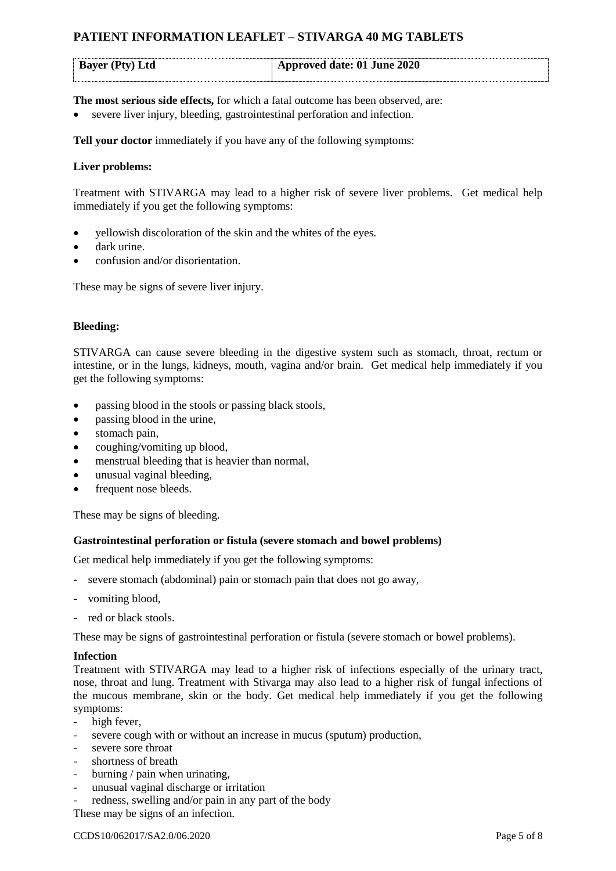| <b>Bayer</b> (Pty) Ltd | $\vert$ Approved date: 01 June 2020 |
|------------------------|-------------------------------------|
|------------------------|-------------------------------------|

**The most serious side effects,** for which a fatal outcome has been observed, are:

severe liver injury, bleeding, gastrointestinal perforation and infection.

**Tell your doctor** immediately if you have any of the following symptoms:

### **Liver problems:**

Treatment with STIVARGA may lead to a higher risk of severe liver problems. Get medical help immediately if you get the following symptoms:

- yellowish discoloration of the skin and the whites of the eyes.
- dark urine.
- confusion and/or disorientation.

These may be signs of severe liver injury.

### **Bleeding:**

STIVARGA can cause severe bleeding in the digestive system such as stomach, throat, rectum or intestine, or in the lungs, kidneys, mouth, vagina and/or brain. Get medical help immediately if you get the following symptoms:

- passing blood in the stools or passing black stools,
- passing blood in the urine,
- stomach pain,
- coughing/vomiting up blood,
- menstrual bleeding that is heavier than normal,
- unusual vaginal bleeding,
- frequent nose bleeds.

These may be signs of bleeding.

### **Gastrointestinal perforation or fistula (severe stomach and bowel problems)**

Get medical help immediately if you get the following symptoms:

- severe stomach (abdominal) pain or stomach pain that does not go away,
- vomiting blood,
- red or black stools.

These may be signs of gastrointestinal perforation or fistula (severe stomach or bowel problems).

### **Infection**

Treatment with STIVARGA may lead to a higher risk of infections especially of the urinary tract, nose, throat and lung. Treatment with Stivarga may also lead to a higher risk of fungal infections of the mucous membrane, skin or the body. Get medical help immediately if you get the following symptoms:

- high fever,
- severe cough with or without an increase in mucus (sputum) production,
- severe sore throat
- shortness of breath
- burning / pain when urinating,
- unusual vaginal discharge or irritation
- redness, swelling and/or pain in any part of the body

These may be signs of an infection.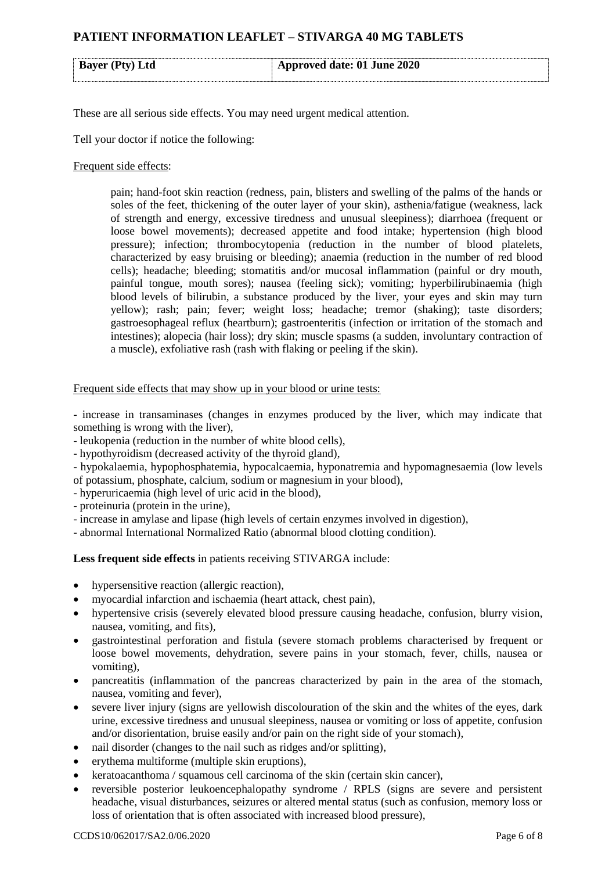| <b>Bayer</b> (Pty) Ltd | Approved date: 01 June 2020 |
|------------------------|-----------------------------|
|                        |                             |

These are all serious side effects. You may need urgent medical attention.

Tell your doctor if notice the following:

#### Frequent side effects:

pain; hand-foot skin reaction (redness, pain, blisters and swelling of the palms of the hands or soles of the feet, thickening of the outer layer of your skin), asthenia/fatigue (weakness, lack of strength and energy, excessive tiredness and unusual sleepiness); diarrhoea (frequent or loose bowel movements); decreased appetite and food intake; hypertension (high blood pressure); infection; thrombocytopenia (reduction in the number of blood platelets, characterized by easy bruising or bleeding); anaemia (reduction in the number of red blood cells); headache; bleeding; stomatitis and/or mucosal inflammation (painful or dry mouth, painful tongue, mouth sores); nausea (feeling sick); vomiting; hyperbilirubinaemia (high blood levels of bilirubin, a substance produced by the liver, your eyes and skin may turn yellow); rash; pain; fever; weight loss; headache; tremor (shaking); taste disorders; gastroesophageal reflux (heartburn); gastroenteritis (infection or irritation of the stomach and intestines); alopecia (hair loss); dry skin; muscle spasms (a sudden, involuntary contraction of a muscle), exfoliative rash (rash with flaking or peeling if the skin).

#### Frequent side effects that may show up in your blood or urine tests:

- increase in transaminases (changes in enzymes produced by the liver, which may indicate that something is wrong with the liver),

- leukopenia (reduction in the number of white blood cells),

- hypothyroidism (decreased activity of the thyroid gland),

- hypokalaemia, hypophosphatemia, hypocalcaemia, hyponatremia and hypomagnesaemia (low levels of potassium, phosphate, calcium, sodium or magnesium in your blood),

- hyperuricaemia (high level of uric acid in the blood),

- proteinuria (protein in the urine),

- increase in amylase and lipase (high levels of certain enzymes involved in digestion),

- abnormal International Normalized Ratio (abnormal blood clotting condition).

### **Less frequent side effects** in patients receiving STIVARGA include:

- hypersensitive reaction (allergic reaction),
- myocardial infarction and ischaemia (heart attack, chest pain),
- hypertensive crisis (severely elevated blood pressure causing headache, confusion, blurry vision, nausea, vomiting, and fits),
- gastrointestinal perforation and fistula (severe stomach problems characterised by frequent or loose bowel movements, dehydration, severe pains in your stomach, fever, chills, nausea or vomiting),
- pancreatitis (inflammation of the pancreas characterized by pain in the area of the stomach, nausea, vomiting and fever),
- severe liver injury (signs are yellowish discolouration of the skin and the whites of the eyes, dark urine, excessive tiredness and unusual sleepiness, nausea or vomiting or loss of appetite, confusion and/or disorientation, bruise easily and/or pain on the right side of your stomach),
- nail disorder (changes to the nail such as ridges and/or splitting),
- erythema multiforme (multiple skin eruptions),
- keratoacanthoma / squamous cell carcinoma of the skin (certain skin cancer),
- reversible posterior leukoencephalopathy syndrome / RPLS (signs are severe and persistent headache, visual disturbances, seizures or altered mental status (such as confusion, memory loss or loss of orientation that is often associated with increased blood pressure),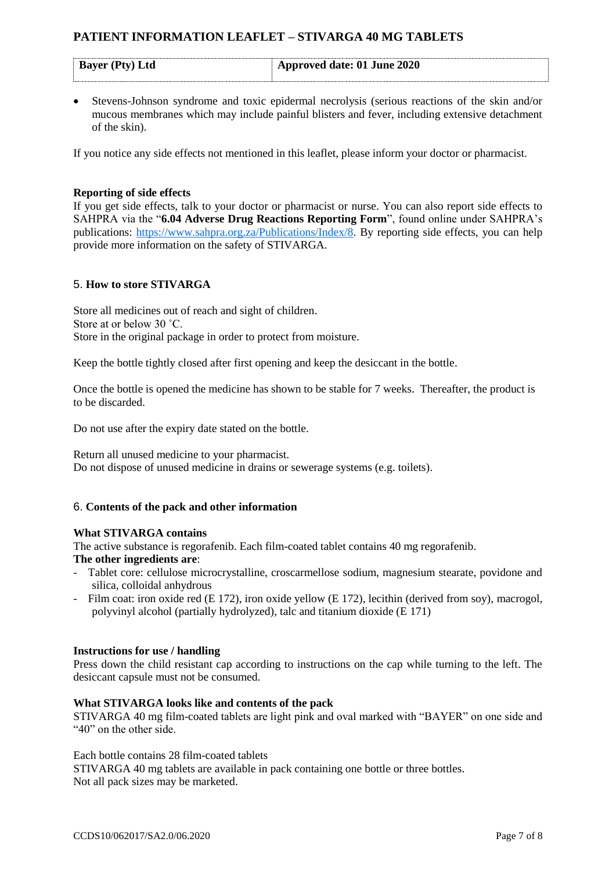| <b>Bayer</b> (Pty) Ltd | Approved date: 01 June 2020 |
|------------------------|-----------------------------|

• Stevens-Johnson syndrome and toxic epidermal necrolysis (serious reactions of the skin and/or mucous membranes which may include painful blisters and fever, including extensive detachment of the skin).

If you notice any side effects not mentioned in this leaflet, please inform your doctor or pharmacist.

## **Reporting of side effects**

If you get side effects, talk to your doctor or pharmacist or nurse. You can also report side effects to SAHPRA via the "**6.04 Adverse Drug Reactions Reporting Form**", found online under SAHPRA's publications: [https://www.sahpra.org.za/Publications/Index/8.](https://www.sahpra.org.za/Publications/Index/8) By reporting side effects, you can help provide more information on the safety of STIVARGA.

## 5. **How to store STIVARGA**

Store all medicines out of reach and sight of children. Store at or below 30 ˚C. Store in the original package in order to protect from moisture.

Keep the bottle tightly closed after first opening and keep the desiccant in the bottle.

Once the bottle is opened the medicine has shown to be stable for 7 weeks. Thereafter, the product is to be discarded.

Do not use after the expiry date stated on the bottle.

Return all unused medicine to your pharmacist. Do not dispose of unused medicine in drains or sewerage systems (e.g. toilets).

### 6. **Contents of the pack and other information**

### **What STIVARGA contains**

The active substance is regorafenib. Each film-coated tablet contains 40 mg regorafenib.

### **The other ingredients are**:

- Tablet core: cellulose microcrystalline, croscarmellose sodium, magnesium stearate, povidone and silica, colloidal anhydrous
- Film coat: iron oxide red (E 172), iron oxide yellow (E 172), lecithin (derived from soy), macrogol, polyvinyl alcohol (partially hydrolyzed), talc and titanium dioxide (E 171)

### **Instructions for use / handling**

Press down the child resistant cap according to instructions on the cap while turning to the left. The desiccant capsule must not be consumed.

### **What STIVARGA looks like and contents of the pack**

STIVARGA 40 mg film-coated tablets are light pink and oval marked with "BAYER" on one side and "40" on the other side.

Each bottle contains 28 film-coated tablets

STIVARGA 40 mg tablets are available in pack containing one bottle or three bottles. Not all pack sizes may be marketed.